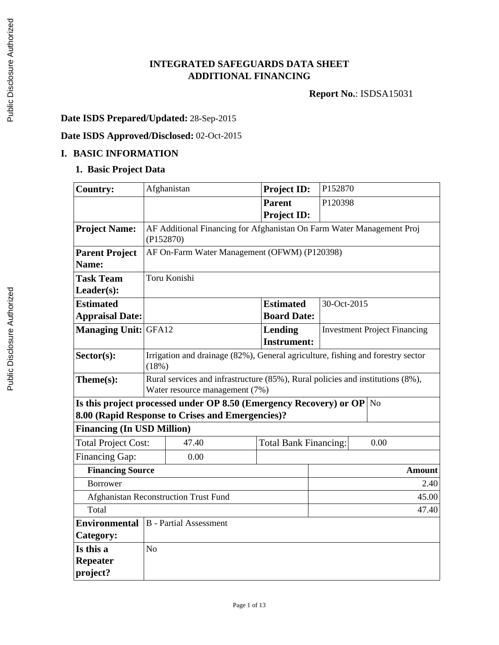## **INTEGRATED SAFEGUARDS DATA SHEET ADDITIONAL FINANCING**

**Report No.**: ISDSA15031

## **Date ISDS Prepared/Updated:** 28-Sep-2015

## **Date ISDS Approved/Disclosed:** 02-Oct-2015

#### **I. BASIC INFORMATION**

## **1. Basic Project Data**

| <b>Country:</b>                            |                                                                                                                                   | Afghanistan                                  | <b>Project ID:</b>                     | P152870                              |                                     |  |
|--------------------------------------------|-----------------------------------------------------------------------------------------------------------------------------------|----------------------------------------------|----------------------------------------|--------------------------------------|-------------------------------------|--|
|                                            |                                                                                                                                   |                                              | <b>Parent</b><br><b>Project ID:</b>    | P120398                              |                                     |  |
| <b>Project Name:</b>                       | AF Additional Financing for Afghanistan On Farm Water Management Proj<br>(P152870)                                                |                                              |                                        |                                      |                                     |  |
| <b>Parent Project</b><br>Name:             |                                                                                                                                   | AF On-Farm Water Management (OFWM) (P120398) |                                        |                                      |                                     |  |
| <b>Task Team</b>                           | Toru Konishi                                                                                                                      |                                              |                                        |                                      |                                     |  |
| Leader(s):                                 |                                                                                                                                   |                                              |                                        |                                      |                                     |  |
| <b>Estimated</b><br><b>Appraisal Date:</b> |                                                                                                                                   |                                              | <b>Estimated</b><br><b>Board Date:</b> | 30-Oct-2015                          |                                     |  |
| <b>Managing Unit: GFA12</b>                |                                                                                                                                   |                                              | <b>Lending</b><br><b>Instrument:</b>   |                                      | <b>Investment Project Financing</b> |  |
| Sector(s):                                 | Irrigation and drainage (82%), General agriculture, fishing and forestry sector<br>(18%)                                          |                                              |                                        |                                      |                                     |  |
| Theme(s):                                  | Rural services and infrastructure (85%), Rural policies and institutions (8%),<br>Water resource management (7%)                  |                                              |                                        |                                      |                                     |  |
|                                            | Is this project processed under OP 8.50 (Emergency Recovery) or OP $\vert$ No<br>8.00 (Rapid Response to Crises and Emergencies)? |                                              |                                        |                                      |                                     |  |
| <b>Financing (In USD Million)</b>          |                                                                                                                                   |                                              |                                        |                                      |                                     |  |
| <b>Total Project Cost:</b>                 |                                                                                                                                   | 47.40                                        |                                        | <b>Total Bank Financing:</b><br>0.00 |                                     |  |
| Financing Gap:                             |                                                                                                                                   | 0.00                                         |                                        |                                      |                                     |  |
| <b>Financing Source</b>                    |                                                                                                                                   |                                              |                                        |                                      | <b>Amount</b>                       |  |
| <b>Borrower</b>                            | 2.40                                                                                                                              |                                              |                                        |                                      |                                     |  |
|                                            | Afghanistan Reconstruction Trust Fund<br>45.00                                                                                    |                                              |                                        |                                      |                                     |  |
| Total                                      | 47.40                                                                                                                             |                                              |                                        |                                      |                                     |  |
| <b>Environmental</b>                       |                                                                                                                                   | <b>B</b> - Partial Assessment                |                                        |                                      |                                     |  |
| Category:                                  |                                                                                                                                   |                                              |                                        |                                      |                                     |  |
| Is this a                                  | N <sub>o</sub>                                                                                                                    |                                              |                                        |                                      |                                     |  |
| Repeater                                   |                                                                                                                                   |                                              |                                        |                                      |                                     |  |
| project?                                   |                                                                                                                                   |                                              |                                        |                                      |                                     |  |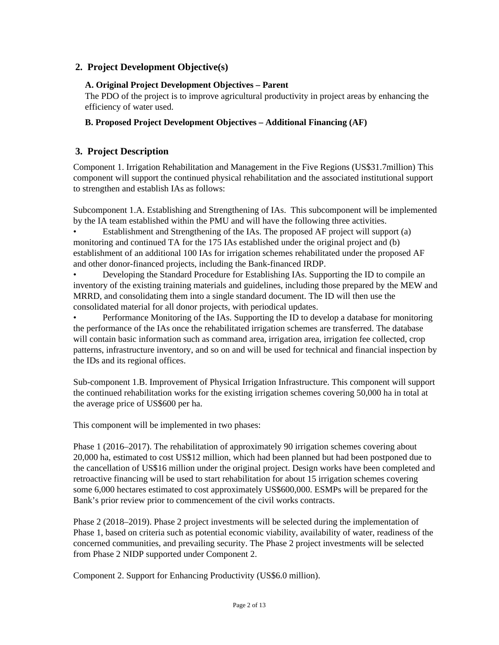## **2. Project Development Objective(s)**

#### **A. Original Project Development Objectives – Parent**

The PDO of the project is to improve agricultural productivity in project areas by enhancing the efficiency of water used.

#### **B. Proposed Project Development Objectives – Additional Financing (AF)**

## **3. Project Description**

Component 1. Irrigation Rehabilitation and Management in the Five Regions (US\$31.7million) This component will support the continued physical rehabilitation and the associated institutional support to strengthen and establish IAs as follows:

Subcomponent 1.A. Establishing and Strengthening of IAs. This subcomponent will be implemented by the IA team established within the PMU and will have the following three activities.

• Establishment and Strengthening of the IAs. The proposed AF project will support (a) monitoring and continued TA for the 175 IAs established under the original project and (b) establishment of an additional 100 IAs for irrigation schemes rehabilitated under the proposed AF and other donor-financed projects, including the Bank-financed IRDP.

• Developing the Standard Procedure for Establishing IAs. Supporting the ID to compile an inventory of the existing training materials and guidelines, including those prepared by the MEW and MRRD, and consolidating them into a single standard document. The ID will then use the consolidated material for all donor projects, with periodical updates.

• Performance Monitoring of the IAs. Supporting the ID to develop a database for monitoring the performance of the IAs once the rehabilitated irrigation schemes are transferred. The database will contain basic information such as command area, irrigation area, irrigation fee collected, crop patterns, infrastructure inventory, and so on and will be used for technical and financial inspection by the IDs and its regional offices.

Sub-component 1.B. Improvement of Physical Irrigation Infrastructure. This component will support the continued rehabilitation works for the existing irrigation schemes covering 50,000 ha in total at the average price of US\$600 per ha.

This component will be implemented in two phases:

Phase 1 (2016–2017). The rehabilitation of approximately 90 irrigation schemes covering about 20,000 ha, estimated to cost US\$12 million, which had been planned but had been postponed due to the cancellation of US\$16 million under the original project. Design works have been completed and retroactive financing will be used to start rehabilitation for about 15 irrigation schemes covering some 6,000 hectares estimated to cost approximately US\$600,000. ESMPs will be prepared for the Bank's prior review prior to commencement of the civil works contracts.

Phase 2 (2018–2019). Phase 2 project investments will be selected during the implementation of Phase 1, based on criteria such as potential economic viability, availability of water, readiness of the concerned communities, and prevailing security. The Phase 2 project investments will be selected from Phase 2 NIDP supported under Component 2.

Component 2. Support for Enhancing Productivity (US\$6.0 million).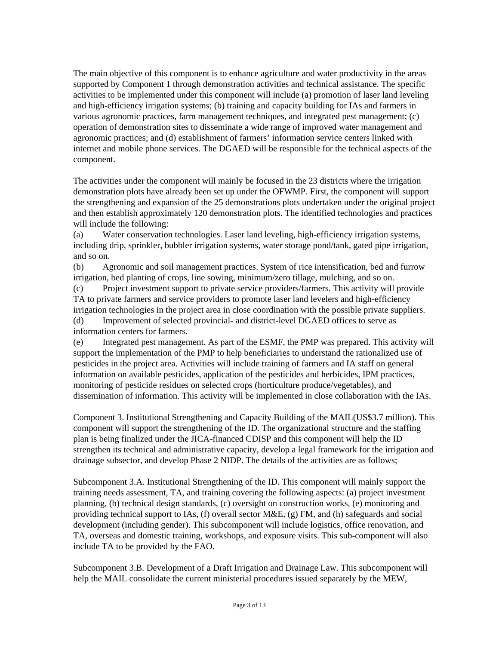The main objective of this component is to enhance agriculture and water productivity in the areas supported by Component 1 through demonstration activities and technical assistance. The specific activities to be implemented under this component will include (a) promotion of laser land leveling and high-efficiency irrigation systems; (b) training and capacity building for IAs and farmers in various agronomic practices, farm management techniques, and integrated pest management; (c) operation of demonstration sites to disseminate a wide range of improved water management and agronomic practices; and (d) establishment of farmers' information service centers linked with internet and mobile phone services. The DGAED will be responsible for the technical aspects of the component.

The activities under the component will mainly be focused in the 23 districts where the irrigation demonstration plots have already been set up under the OFWMP. First, the component will support the strengthening and expansion of the 25 demonstrations plots undertaken under the original project and then establish approximately 120 demonstration plots. The identified technologies and practices will include the following:

(a) Water conservation technologies. Laser land leveling, high-efficiency irrigation systems, including drip, sprinkler, bubbler irrigation systems, water storage pond/tank, gated pipe irrigation, and so on.

(b) Agronomic and soil management practices. System of rice intensification, bed and furrow irrigation, bed planting of crops, line sowing, minimum/zero tillage, mulching, and so on.

(c) Project investment support to private service providers/farmers. This activity will provide TA to private farmers and service providers to promote laser land levelers and high-efficiency irrigation technologies in the project area in close coordination with the possible private suppliers. (d) Improvement of selected provincial- and district-level DGAED offices to serve as information centers for farmers.

(e) Integrated pest management. As part of the ESMF, the PMP was prepared. This activity will support the implementation of the PMP to help beneficiaries to understand the rationalized use of pesticides in the project area. Activities will include training of farmers and IA staff on general information on available pesticides, application of the pesticides and herbicides, IPM practices, monitoring of pesticide residues on selected crops (horticulture produce/vegetables), and dissemination of information. This activity will be implemented in close collaboration with the IAs.

Component 3. Institutional Strengthening and Capacity Building of the MAIL(US\$3.7 million). This component will support the strengthening of the ID. The organizational structure and the staffing plan is being finalized under the JICA-financed CDISP and this component will help the ID strengthen its technical and administrative capacity, develop a legal framework for the irrigation and drainage subsector, and develop Phase 2 NIDP. The details of the activities are as follows;

Subcomponent 3.A. Institutional Strengthening of the ID. This component will mainly support the training needs assessment, TA, and training covering the following aspects: (a) project investment planning, (b) technical design standards, (c) oversight on construction works, (e) monitoring and providing technical support to IAs,  $(f)$  overall sector  $M&E$ ,  $(g)$  FM, and  $(h)$  safeguards and social development (including gender). This subcomponent will include logistics, office renovation, and TA, overseas and domestic training, workshops, and exposure visits. This sub-component will also include TA to be provided by the FAO.

Subcomponent 3.B. Development of a Draft Irrigation and Drainage Law. This subcomponent will help the MAIL consolidate the current ministerial procedures issued separately by the MEW,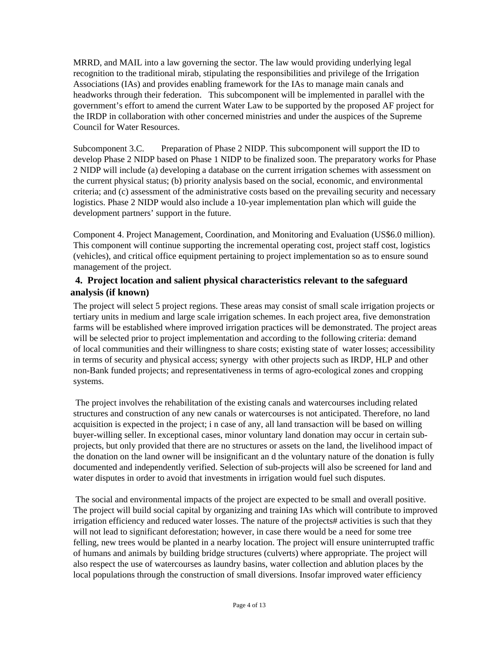MRRD, and MAIL into a law governing the sector. The law would providing underlying legal recognition to the traditional mirab, stipulating the responsibilities and privilege of the Irrigation Associations (IAs) and provides enabling framework for the IAs to manage main canals and headworks through their federation. This subcomponent will be implemented in parallel with the government's effort to amend the current Water Law to be supported by the proposed AF project for the IRDP in collaboration with other concerned ministries and under the auspices of the Supreme Council for Water Resources.

Subcomponent 3.C. Preparation of Phase 2 NIDP. This subcomponent will support the ID to develop Phase 2 NIDP based on Phase 1 NIDP to be finalized soon. The preparatory works for Phase 2 NIDP will include (a) developing a database on the current irrigation schemes with assessment on the current physical status; (b) priority analysis based on the social, economic, and environmental criteria; and (c) assessment of the administrative costs based on the prevailing security and necessary logistics. Phase 2 NIDP would also include a 10-year implementation plan which will guide the development partners' support in the future.

Component 4. Project Management, Coordination, and Monitoring and Evaluation (US\$6.0 million). This component will continue supporting the incremental operating cost, project staff cost, logistics (vehicles), and critical office equipment pertaining to project implementation so as to ensure sound management of the project.

#### **4. Project location and salient physical characteristics relevant to the safeguard analysis (if known)**

The project will select 5 project regions. These areas may consist of small scale irrigation projects or tertiary units in medium and large scale irrigation schemes. In each project area, five demonstration farms will be established where improved irrigation practices will be demonstrated. The project areas will be selected prior to project implementation and according to the following criteria: demand of local communities and their willingness to share costs; existing state of water losses; accessibility in terms of security and physical access; synergy with other projects such as IRDP, HLP and other non-Bank funded projects; and representativeness in terms of agro-ecological zones and cropping systems.

 The project involves the rehabilitation of the existing canals and watercourses including related structures and construction of any new canals or watercourses is not anticipated. Therefore, no land acquisition is expected in the project; i n case of any, all land transaction will be based on willing buyer-willing seller. In exceptional cases, minor voluntary land donation may occur in certain subprojects, but only provided that there are no structures or assets on the land, the livelihood impact of the donation on the land owner will be insignificant an d the voluntary nature of the donation is fully documented and independently verified. Selection of sub-projects will also be screened for land and water disputes in order to avoid that investments in irrigation would fuel such disputes.

 The social and environmental impacts of the project are expected to be small and overall positive. The project will build social capital by organizing and training IAs which will contribute to improved irrigation efficiency and reduced water losses. The nature of the projects# activities is such that they will not lead to significant deforestation; however, in case there would be a need for some tree felling, new trees would be planted in a nearby location. The project will ensure uninterrupted traffic of humans and animals by building bridge structures (culverts) where appropriate. The project will also respect the use of watercourses as laundry basins, water collection and ablution places by the local populations through the construction of small diversions. Insofar improved water efficiency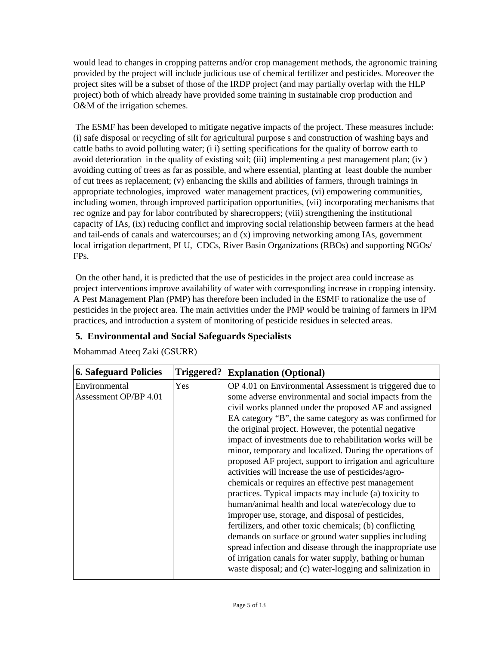would lead to changes in cropping patterns and/or crop management methods, the agronomic training provided by the project will include judicious use of chemical fertilizer and pesticides. Moreover the project sites will be a subset of those of the IRDP project (and may partially overlap with the HLP project) both of which already have provided some training in sustainable crop production and O&M of the irrigation schemes.

 The ESMF has been developed to mitigate negative impacts of the project. These measures include: (i) safe disposal or recycling of silt for agricultural purpose s and construction of washing bays and cattle baths to avoid polluting water; (i i) setting specifications for the quality of borrow earth to avoid deterioration in the quality of existing soil; (iii) implementing a pest management plan; (iv ) avoiding cutting of trees as far as possible, and where essential, planting at least double the number of cut trees as replacement; (v) enhancing the skills and abilities of farmers, through trainings in appropriate technologies, improved water management practices, (vi) empowering communities, including women, through improved participation opportunities, (vii) incorporating mechanisms that rec ognize and pay for labor contributed by sharecroppers; (viii) strengthening the institutional capacity of IAs, (ix) reducing conflict and improving social relationship between farmers at the head and tail-ends of canals and watercourses; an d (x) improving networking among IAs, government local irrigation department, PI U, CDCs, River Basin Organizations (RBOs) and supporting NGOs/ FPs.

 On the other hand, it is predicted that the use of pesticides in the project area could increase as project interventions improve availability of water with corresponding increase in cropping intensity. A Pest Management Plan (PMP) has therefore been included in the ESMF to rationalize the use of pesticides in the project area. The main activities under the PMP would be training of farmers in IPM practices, and introduction a system of monitoring of pesticide residues in selected areas.

## **5. Environmental and Social Safeguards Specialists**

Mohammad Ateeq Zaki (GSURR)

| <b>6. Safeguard Policies</b> | Triggered? | <b>Explanation (Optional)</b>                              |
|------------------------------|------------|------------------------------------------------------------|
| Environmental                | Yes        | OP 4.01 on Environmental Assessment is triggered due to    |
| Assessment OP/BP 4.01        |            | some adverse environmental and social impacts from the     |
|                              |            | civil works planned under the proposed AF and assigned     |
|                              |            | EA category "B", the same category as was confirmed for    |
|                              |            | the original project. However, the potential negative      |
|                              |            | impact of investments due to rehabilitation works will be  |
|                              |            | minor, temporary and localized. During the operations of   |
|                              |            | proposed AF project, support to irrigation and agriculture |
|                              |            | activities will increase the use of pesticides/agro-       |
|                              |            | chemicals or requires an effective pest management         |
|                              |            | practices. Typical impacts may include (a) toxicity to     |
|                              |            | human/animal health and local water/ecology due to         |
|                              |            | improper use, storage, and disposal of pesticides,         |
|                              |            | fertilizers, and other toxic chemicals; (b) conflicting    |
|                              |            | demands on surface or ground water supplies including      |
|                              |            | spread infection and disease through the inappropriate use |
|                              |            | of irrigation canals for water supply, bathing or human    |
|                              |            | waste disposal; and (c) water-logging and salinization in  |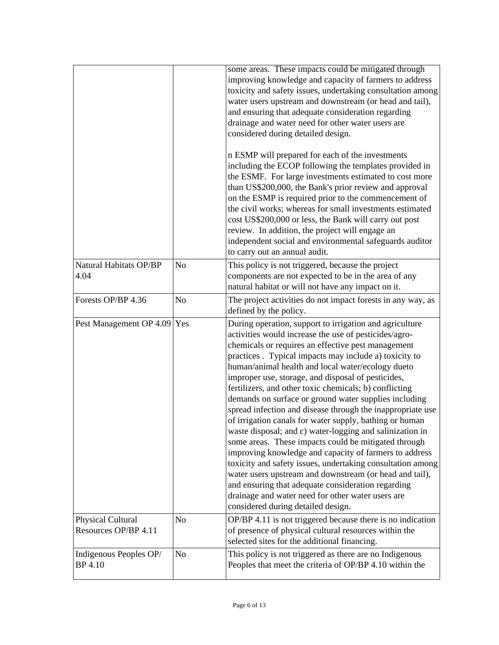|                                           |                | some areas. These impacts could be mitigated through<br>improving knowledge and capacity of farmers to address<br>toxicity and safety issues, undertaking consultation among<br>water users upstream and downstream (or head and tail),<br>and ensuring that adequate consideration regarding<br>drainage and water need for other water users are<br>considered during detailed design.<br>n ESMP will prepared for each of the investments<br>including the ECOP following the templates provided in<br>the ESMF. For large investments estimated to cost more<br>than US\$200,000, the Bank's prior review and approval<br>on the ESMP is required prior to the commencement of<br>the civil works; whereas for small investments estimated<br>cost US\$200,000 or less, the Bank will carry out post<br>review. In addition, the project will engage an<br>independent social and environmental safeguards auditor<br>to carry out an annual audit.                                                                                         |
|-------------------------------------------|----------------|-------------------------------------------------------------------------------------------------------------------------------------------------------------------------------------------------------------------------------------------------------------------------------------------------------------------------------------------------------------------------------------------------------------------------------------------------------------------------------------------------------------------------------------------------------------------------------------------------------------------------------------------------------------------------------------------------------------------------------------------------------------------------------------------------------------------------------------------------------------------------------------------------------------------------------------------------------------------------------------------------------------------------------------------------|
| Natural Habitats OP/BP<br>4.04            | N <sub>o</sub> | This policy is not triggered, because the project<br>components are not expected to be in the area of any<br>natural habitat or will not have any impact on it.                                                                                                                                                                                                                                                                                                                                                                                                                                                                                                                                                                                                                                                                                                                                                                                                                                                                                 |
| Forests OP/BP 4.36                        | N <sub>o</sub> | The project activities do not impact forests in any way, as<br>defined by the policy.                                                                                                                                                                                                                                                                                                                                                                                                                                                                                                                                                                                                                                                                                                                                                                                                                                                                                                                                                           |
| Pest Management OP 4.09                   | Yes            | During operation, support to irrigation and agriculture<br>activities would increase the use of pesticides/agro-<br>chemicals or requires an effective pest management<br>practices . Typical impacts may include a) toxicity to<br>human/animal health and local water/ecology dueto<br>improper use, storage, and disposal of pesticides,<br>fertilizers, and other toxic chemicals; b) conflicting<br>demands on surface or ground water supplies including<br>spread infection and disease through the inappropriate use<br>of irrigation canals for water supply, bathing or human<br>waste disposal; and c) water-logging and salinization in<br>some areas. These impacts could be mitigated through<br>improving knowledge and capacity of farmers to address<br>toxicity and safety issues, undertaking consultation among<br>water users upstream and downstream (or head and tail),<br>and ensuring that adequate consideration regarding<br>drainage and water need for other water users are<br>considered during detailed design. |
| Physical Cultural<br>Resources OP/BP 4.11 | N <sub>0</sub> | OP/BP 4.11 is not triggered because there is no indication<br>of presence of physical cultural resources within the<br>selected sites for the additional financing.                                                                                                                                                                                                                                                                                                                                                                                                                                                                                                                                                                                                                                                                                                                                                                                                                                                                             |
| Indigenous Peoples OP/<br>BP 4.10         | N <sub>o</sub> | This policy is not triggered as there are no Indigenous<br>Peoples that meet the criteria of OP/BP 4.10 within the                                                                                                                                                                                                                                                                                                                                                                                                                                                                                                                                                                                                                                                                                                                                                                                                                                                                                                                              |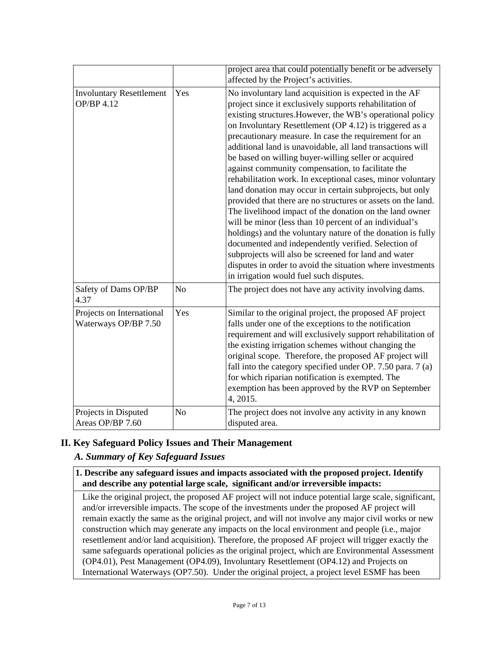|                                                      |                | project area that could potentially benefit or be adversely<br>affected by the Project's activities.                                                                                                                                                                                                                                                                                                                                                                                                                                                                                                                                                                                                                                                                                                                                                                                                                                                                                                                                                                               |  |  |
|------------------------------------------------------|----------------|------------------------------------------------------------------------------------------------------------------------------------------------------------------------------------------------------------------------------------------------------------------------------------------------------------------------------------------------------------------------------------------------------------------------------------------------------------------------------------------------------------------------------------------------------------------------------------------------------------------------------------------------------------------------------------------------------------------------------------------------------------------------------------------------------------------------------------------------------------------------------------------------------------------------------------------------------------------------------------------------------------------------------------------------------------------------------------|--|--|
| <b>Involuntary Resettlement</b><br>Yes<br>OP/BP 4.12 |                | No involuntary land acquisition is expected in the AF<br>project since it exclusively supports rehabilitation of<br>existing structures. However, the WB's operational policy<br>on Involuntary Resettlement (OP 4.12) is triggered as a<br>precautionary measure. In case the requirement for an<br>additional land is unavoidable, all land transactions will<br>be based on willing buyer-willing seller or acquired<br>against community compensation, to facilitate the<br>rehabilitation work. In exceptional cases, minor voluntary<br>land donation may occur in certain subprojects, but only<br>provided that there are no structures or assets on the land.<br>The livelihood impact of the donation on the land owner<br>will be minor (less than 10 percent of an individual's<br>holdings) and the voluntary nature of the donation is fully<br>documented and independently verified. Selection of<br>subprojects will also be screened for land and water<br>disputes in order to avoid the situation where investments<br>in irrigation would fuel such disputes. |  |  |
| Safety of Dams OP/BP<br>4.37                         | N <sub>o</sub> | The project does not have any activity involving dams.                                                                                                                                                                                                                                                                                                                                                                                                                                                                                                                                                                                                                                                                                                                                                                                                                                                                                                                                                                                                                             |  |  |
| Projects on International<br>Waterways OP/BP 7.50    | Yes            | Similar to the original project, the proposed AF project<br>falls under one of the exceptions to the notification<br>requirement and will exclusively support rehabilitation of<br>the existing irrigation schemes without changing the<br>original scope. Therefore, the proposed AF project will<br>fall into the category specified under OP. 7.50 para. 7 (a)<br>for which riparian notification is exempted. The<br>exemption has been approved by the RVP on September<br>4, 2015.                                                                                                                                                                                                                                                                                                                                                                                                                                                                                                                                                                                           |  |  |
| Projects in Disputed<br>Areas OP/BP 7.60             | No             | The project does not involve any activity in any known<br>disputed area.                                                                                                                                                                                                                                                                                                                                                                                                                                                                                                                                                                                                                                                                                                                                                                                                                                                                                                                                                                                                           |  |  |

## **II. Key Safeguard Policy Issues and Their Management**

## *A. Summary of Key Safeguard Issues*

**1. Describe any safeguard issues and impacts associated with the proposed project. Identify and describe any potential large scale, significant and/or irreversible impacts:**

Like the original project, the proposed AF project will not induce potential large scale, significant, and/or irreversible impacts. The scope of the investments under the proposed AF project will remain exactly the same as the original project, and will not involve any major civil works or new construction which may generate any impacts on the local environment and people (i.e., major resettlement and/or land acquisition). Therefore, the proposed AF project will trigger exactly the same safeguards operational policies as the original project, which are Environmental Assessment (OP4.01), Pest Management (OP4.09), Involuntary Resettlement (OP4.12) and Projects on International Waterways (OP7.50). Under the original project, a project level ESMF has been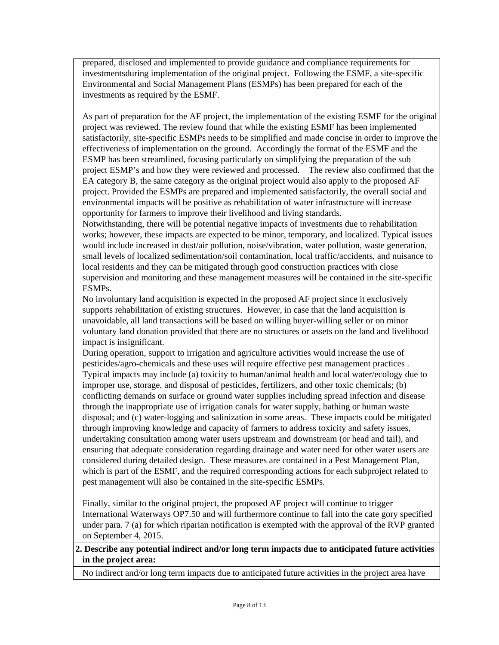prepared, disclosed and implemented to provide guidance and compliance requirements for investmentsduring implementation of the original project. Following the ESMF, a site-specific Environmental and Social Management Plans (ESMPs) has been prepared for each of the investments as required by the ESMF.

As part of preparation for the AF project, the implementation of the existing ESMF for the original project was reviewed. The review found that while the existing ESMF has been implemented satisfactorily, site-specific ESMPs needs to be simplified and made concise in order to improve the effectiveness of implementation on the ground. Accordingly the format of the ESMF and the ESMP has been streamlined, focusing particularly on simplifying the preparation of the sub project ESMP's and how they were reviewed and processed. The review also confirmed that the EA category B, the same category as the original project would also apply to the proposed AF project. Provided the ESMPs are prepared and implemented satisfactorily, the overall social and environmental impacts will be positive as rehabilitation of water infrastructure will increase opportunity for farmers to improve their livelihood and living standards.

Notwithstanding, there will be potential negative impacts of investments due to rehabilitation works; however, these impacts are expected to be minor, temporary, and localized. Typical issues would include increased in dust/air pollution, noise/vibration, water pollution, waste generation, small levels of localized sedimentation/soil contamination, local traffic/accidents, and nuisance to local residents and they can be mitigated through good construction practices with close supervision and monitoring and these management measures will be contained in the site-specific ESMPs.

No involuntary land acquisition is expected in the proposed AF project since it exclusively supports rehabilitation of existing structures. However, in case that the land acquisition is unavoidable, all land transactions will be based on willing buyer-willing seller or on minor voluntary land donation provided that there are no structures or assets on the land and livelihood impact is insignificant.

During operation, support to irrigation and agriculture activities would increase the use of pesticides/agro-chemicals and these uses will require effective pest management practices . Typical impacts may include (a) toxicity to human/animal health and local water/ecology due to improper use, storage, and disposal of pesticides, fertilizers, and other toxic chemicals; (b) conflicting demands on surface or ground water supplies including spread infection and disease through the inappropriate use of irrigation canals for water supply, bathing or human waste disposal; and (c) water-logging and salinization in some areas. These impacts could be mitigated through improving knowledge and capacity of farmers to address toxicity and safety issues, undertaking consultation among water users upstream and downstream (or head and tail), and ensuring that adequate consideration regarding drainage and water need for other water users are considered during detailed design. These measures are contained in a Pest Management Plan, which is part of the ESMF, and the required corresponding actions for each subproject related to pest management will also be contained in the site-specific ESMPs.

Finally, similar to the original project, the proposed AF project will continue to trigger International Waterways OP7.50 and will furthermore continue to fall into the cate gory specified under para. 7 (a) for which riparian notification is exempted with the approval of the RVP granted on September 4, 2015.

#### **2. Describe any potential indirect and/or long term impacts due to anticipated future activities in the project area:**

No indirect and/or long term impacts due to anticipated future activities in the project area have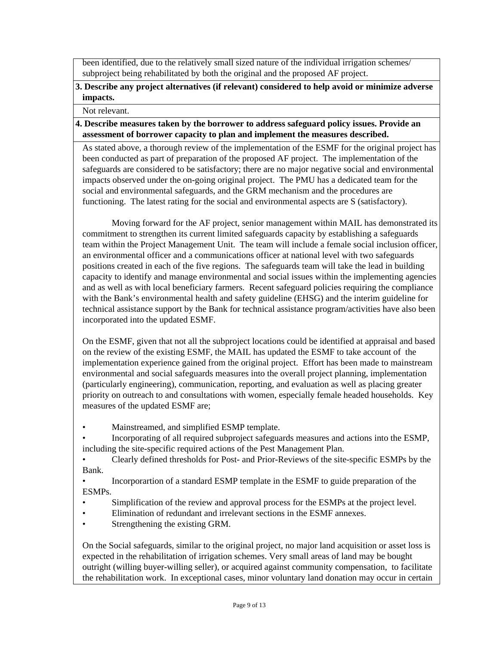been identified, due to the relatively small sized nature of the individual irrigation schemes/ subproject being rehabilitated by both the original and the proposed AF project.

#### **3. Describe any project alternatives (if relevant) considered to help avoid or minimize adverse impacts.**

Not relevant.

#### **4. Describe measures taken by the borrower to address safeguard policy issues. Provide an assessment of borrower capacity to plan and implement the measures described.**

As stated above, a thorough review of the implementation of the ESMF for the original project has been conducted as part of preparation of the proposed AF project. The implementation of the safeguards are considered to be satisfactory; there are no major negative social and environmental impacts observed under the on-going original project. The PMU has a dedicated team for the social and environmental safeguards, and the GRM mechanism and the procedures are functioning. The latest rating for the social and environmental aspects are S (satisfactory).

Moving forward for the AF project, senior management within MAIL has demonstrated its commitment to strengthen its current limited safeguards capacity by establishing a safeguards team within the Project Management Unit. The team will include a female social inclusion officer, an environmental officer and a communications officer at national level with two safeguards positions created in each of the five regions. The safeguards team will take the lead in building capacity to identify and manage environmental and social issues within the implementing agencies and as well as with local beneficiary farmers. Recent safeguard policies requiring the compliance with the Bank's environmental health and safety guideline (EHSG) and the interim guideline for technical assistance support by the Bank for technical assistance program/activities have also been incorporated into the updated ESMF.

On the ESMF, given that not all the subproject locations could be identified at appraisal and based on the review of the existing ESMF, the MAIL has updated the ESMF to take account of the implementation experience gained from the original project. Effort has been made to mainstream environmental and social safeguards measures into the overall project planning, implementation (particularly engineering), communication, reporting, and evaluation as well as placing greater priority on outreach to and consultations with women, especially female headed households. Key measures of the updated ESMF are;

- Mainstreamed, and simplified ESMP template.
- Incorporating of all required subproject safeguards measures and actions into the ESMP, including the site-specific required actions of the Pest Management Plan.

• Clearly defined thresholds for Post- and Prior-Reviews of the site-specific ESMPs by the Bank.

• Incorporartion of a standard ESMP template in the ESMF to guide preparation of the ESMPs.

- Simplification of the review and approval process for the ESMPs at the project level.
- Elimination of redundant and irrelevant sections in the ESMF annexes.
- Strengthening the existing GRM.

On the Social safeguards, similar to the original project, no major land acquisition or asset loss is expected in the rehabilitation of irrigation schemes. Very small areas of land may be bought outright (willing buyer-willing seller), or acquired against community compensation, to facilitate the rehabilitation work. In exceptional cases, minor voluntary land donation may occur in certain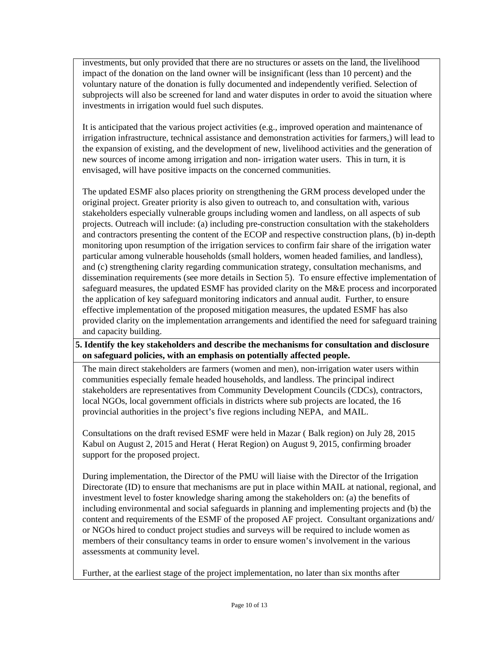investments, but only provided that there are no structures or assets on the land, the livelihood impact of the donation on the land owner will be insignificant (less than 10 percent) and the voluntary nature of the donation is fully documented and independently verified. Selection of subprojects will also be screened for land and water disputes in order to avoid the situation where investments in irrigation would fuel such disputes.

It is anticipated that the various project activities (e.g., improved operation and maintenance of irrigation infrastructure, technical assistance and demonstration activities for farmers,) will lead to the expansion of existing, and the development of new, livelihood activities and the generation of new sources of income among irrigation and non- irrigation water users. This in turn, it is envisaged, will have positive impacts on the concerned communities.

The updated ESMF also places priority on strengthening the GRM process developed under the original project. Greater priority is also given to outreach to, and consultation with, various stakeholders especially vulnerable groups including women and landless, on all aspects of sub projects. Outreach will include: (a) including pre-construction consultation with the stakeholders and contractors presenting the content of the ECOP and respective construction plans, (b) in-depth monitoring upon resumption of the irrigation services to confirm fair share of the irrigation water particular among vulnerable households (small holders, women headed families, and landless), and (c) strengthening clarity regarding communication strategy, consultation mechanisms, and dissemination requirements (see more details in Section 5). To ensure effective implementation of safeguard measures, the updated ESMF has provided clarity on the M&E process and incorporated the application of key safeguard monitoring indicators and annual audit. Further, to ensure effective implementation of the proposed mitigation measures, the updated ESMF has also provided clarity on the implementation arrangements and identified the need for safeguard training and capacity building.

#### **5. Identify the key stakeholders and describe the mechanisms for consultation and disclosure on safeguard policies, with an emphasis on potentially affected people.**

The main direct stakeholders are farmers (women and men), non-irrigation water users within communities especially female headed households, and landless. The principal indirect stakeholders are representatives from Community Development Councils (CDCs), contractors, local NGOs, local government officials in districts where sub projects are located, the 16 provincial authorities in the project's five regions including NEPA, and MAIL.

Consultations on the draft revised ESMF were held in Mazar ( Balk region) on July 28, 2015 Kabul on August 2, 2015 and Herat ( Herat Region) on August 9, 2015, confirming broader support for the proposed project.

During implementation, the Director of the PMU will liaise with the Director of the Irrigation Directorate (ID) to ensure that mechanisms are put in place within MAIL at national, regional, and investment level to foster knowledge sharing among the stakeholders on: (a) the benefits of including environmental and social safeguards in planning and implementing projects and (b) the content and requirements of the ESMF of the proposed AF project. Consultant organizations and/ or NGOs hired to conduct project studies and surveys will be required to include women as members of their consultancy teams in order to ensure women's involvement in the various assessments at community level.

Further, at the earliest stage of the project implementation, no later than six months after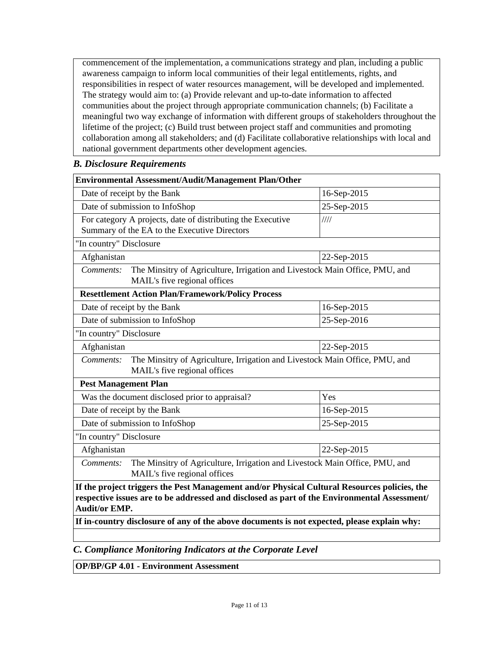commencement of the implementation, a communications strategy and plan, including a public awareness campaign to inform local communities of their legal entitlements, rights, and responsibilities in respect of water resources management, will be developed and implemented. The strategy would aim to: (a) Provide relevant and up-to-date information to affected communities about the project through appropriate communication channels; (b) Facilitate a meaningful two way exchange of information with different groups of stakeholders throughout the lifetime of the project; (c) Build trust between project staff and communities and promoting collaboration among all stakeholders; and (d) Facilitate collaborative relationships with local and national government departments other development agencies.

#### *B. Disclosure Requirements*

| Environmental Assessment/Audit/Management Plan/Other                                                                                                                                                                 |             |  |  |  |  |
|----------------------------------------------------------------------------------------------------------------------------------------------------------------------------------------------------------------------|-------------|--|--|--|--|
| Date of receipt by the Bank<br>16-Sep-2015                                                                                                                                                                           |             |  |  |  |  |
| Date of submission to InfoShop                                                                                                                                                                                       | 25-Sep-2015 |  |  |  |  |
| For category A projects, date of distributing the Executive<br>Summary of the EA to the Executive Directors                                                                                                          | 1111        |  |  |  |  |
| "In country" Disclosure                                                                                                                                                                                              |             |  |  |  |  |
| Afghanistan                                                                                                                                                                                                          | 22-Sep-2015 |  |  |  |  |
| The Minsitry of Agriculture, Irrigation and Livestock Main Office, PMU, and<br>Comments:<br>MAIL's five regional offices                                                                                             |             |  |  |  |  |
| <b>Resettlement Action Plan/Framework/Policy Process</b>                                                                                                                                                             |             |  |  |  |  |
| Date of receipt by the Bank                                                                                                                                                                                          | 16-Sep-2015 |  |  |  |  |
| Date of submission to InfoShop                                                                                                                                                                                       | 25-Sep-2016 |  |  |  |  |
| "In country" Disclosure                                                                                                                                                                                              |             |  |  |  |  |
| Afghanistan<br>22-Sep-2015                                                                                                                                                                                           |             |  |  |  |  |
| The Minsitry of Agriculture, Irrigation and Livestock Main Office, PMU, and<br>Comments:<br>MAIL's five regional offices                                                                                             |             |  |  |  |  |
| <b>Pest Management Plan</b>                                                                                                                                                                                          |             |  |  |  |  |
| Was the document disclosed prior to appraisal?<br>Yes                                                                                                                                                                |             |  |  |  |  |
| Date of receipt by the Bank                                                                                                                                                                                          | 16-Sep-2015 |  |  |  |  |
| Date of submission to InfoShop                                                                                                                                                                                       | 25-Sep-2015 |  |  |  |  |
| "In country" Disclosure                                                                                                                                                                                              |             |  |  |  |  |
| Afghanistan<br>22-Sep-2015                                                                                                                                                                                           |             |  |  |  |  |
| The Minsitry of Agriculture, Irrigation and Livestock Main Office, PMU, and<br>Comments:<br>MAIL's five regional offices                                                                                             |             |  |  |  |  |
| If the project triggers the Pest Management and/or Physical Cultural Resources policies, the<br>respective issues are to be addressed and disclosed as part of the Environmental Assessment/<br><b>Audit/or EMP.</b> |             |  |  |  |  |
| If in-country disclosure of any of the above documents is not expected, please explain why:                                                                                                                          |             |  |  |  |  |
|                                                                                                                                                                                                                      |             |  |  |  |  |

*C. Compliance Monitoring Indicators at the Corporate Level*

**OP/BP/GP 4.01 - Environment Assessment**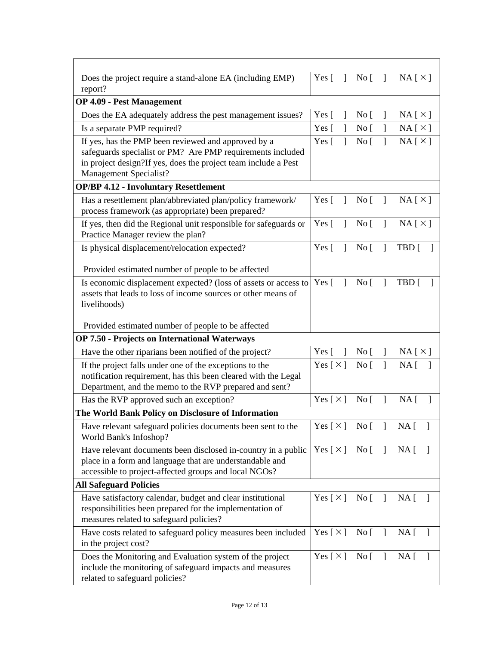| Does the project require a stand-alone EA (including EMP)<br>report?                                                                                                                                          | Yes [<br>1                   | $\overline{N}$ o $\overline{[}$ | -1                       | NA [ X ]                           |
|---------------------------------------------------------------------------------------------------------------------------------------------------------------------------------------------------------------|------------------------------|---------------------------------|--------------------------|------------------------------------|
| <b>OP 4.09 - Pest Management</b>                                                                                                                                                                              |                              |                                 |                          |                                    |
| Does the EA adequately address the pest management issues?                                                                                                                                                    | Yes [                        | No <sub>[</sub> ]               | 1                        | NA[X]                              |
| Is a separate PMP required?                                                                                                                                                                                   | Yes [                        | No <sub>1</sub>                 | 1                        | NA[X]                              |
| If yes, has the PMP been reviewed and approved by a<br>safeguards specialist or PM? Are PMP requirements included<br>in project design?If yes, does the project team include a Pest<br>Management Specialist? | Yes [<br>1                   | No <sub>[</sub> ]               |                          | NA[X]                              |
| <b>OP/BP 4.12 - Involuntary Resettlement</b>                                                                                                                                                                  |                              |                                 |                          |                                    |
| Has a resettlement plan/abbreviated plan/policy framework/<br>process framework (as appropriate) been prepared?                                                                                               | Yes [<br>1                   | No <sub>[</sub> ]               | 1                        | NA [ X ]                           |
| If yes, then did the Regional unit responsible for safeguards or<br>Practice Manager review the plan?                                                                                                         | Yes $\lceil$<br>1            | No [                            | 1                        | NA[X]                              |
| Is physical displacement/relocation expected?                                                                                                                                                                 | Yes $\lceil$<br>$\mathbf{I}$ | No <sub>[</sub> ]               | $\mathbf{1}$             | TBD [                              |
| Provided estimated number of people to be affected                                                                                                                                                            |                              |                                 |                          |                                    |
| Is economic displacement expected? (loss of assets or access to<br>assets that leads to loss of income sources or other means of<br>livelihoods)<br>Provided estimated number of people to be affected        | Yes $\lceil$<br>1            | No <sub>[</sub> ]               | 1                        | TBD [                              |
| <b>OP 7.50 - Projects on International Waterways</b>                                                                                                                                                          |                              |                                 |                          |                                    |
| Have the other riparians been notified of the project?                                                                                                                                                        | Yes [<br>$\mathbf{I}$        | No <sub>[</sub> ]               | $\overline{\phantom{a}}$ | NA[X]                              |
| If the project falls under one of the exceptions to the                                                                                                                                                       | Yes [ $\times$ ]             | No [                            | $\mathbf{I}$             | NA <sub>[</sub> ]                  |
| notification requirement, has this been cleared with the Legal<br>Department, and the memo to the RVP prepared and sent?                                                                                      |                              |                                 |                          |                                    |
| Has the RVP approved such an exception?                                                                                                                                                                       | Yes [ $\times$ ]             | No <sub>[</sub>                 | 1                        | NA [                               |
| The World Bank Policy on Disclosure of Information                                                                                                                                                            |                              |                                 |                          |                                    |
| Have relevant safeguard policies documents been sent to the<br>World Bank's Infoshop?                                                                                                                         |                              |                                 |                          | Yes $[\times]$ No $[\ ]$ NA $[\ ]$ |
| Have relevant documents been disclosed in-country in a public<br>place in a form and language that are understandable and<br>accessible to project-affected groups and local NGOs?                            | Yes $\lceil \times \rceil$   | No [                            | $\Box$                   | NA [<br>-1                         |
| <b>All Safeguard Policies</b>                                                                                                                                                                                 |                              |                                 |                          |                                    |
| Have satisfactory calendar, budget and clear institutional<br>responsibilities been prepared for the implementation of<br>measures related to safeguard policies?                                             | Yes [ $\times$ ]             | $\overline{N}$ o $\overline{[}$ | $\mathbf{I}$             | $NA$ [                             |
| Have costs related to safeguard policy measures been included<br>in the project cost?                                                                                                                         | Yes [ $\times$ ]             | No [                            | -1                       | NA [<br>-1                         |
| Does the Monitoring and Evaluation system of the project<br>include the monitoring of safeguard impacts and measures<br>related to safeguard policies?                                                        | Yes [ $\times$ ]             | No <sub>[</sub> ]               | $\perp$                  | NA [                               |